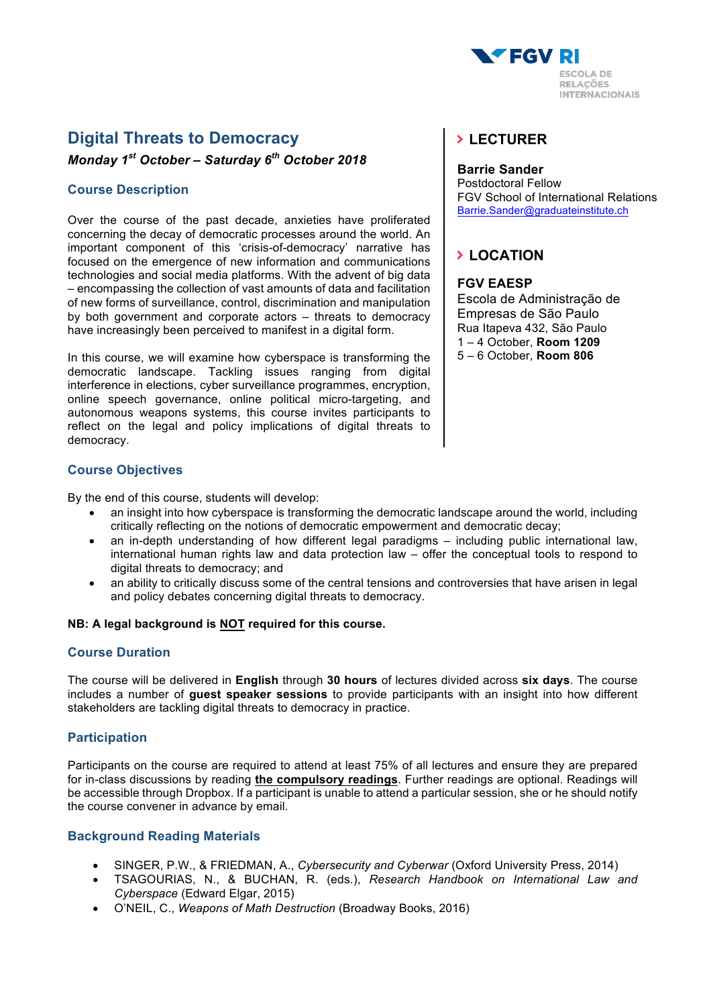

# **Digital Threats to Democracy**

*Monday 1st October – Saturday 6th October 2018*

### **Course Description**

Over the course of the past decade, anxieties have proliferated concerning the decay of democratic processes around the world. An important component of this 'crisis-of-democracy' narrative has focused on the emergence of new information and communications technologies and social media platforms. With the advent of big data – encompassing the collection of vast amounts of data and facilitation of new forms of surveillance, control, discrimination and manipulation by both government and corporate actors – threats to democracy have increasingly been perceived to manifest in a digital form.

In this course, we will examine how cyberspace is transforming the democratic landscape. Tackling issues ranging from digital interference in elections, cyber surveillance programmes, encryption, online speech governance, online political micro-targeting, and autonomous weapons systems, this course invites participants to reflect on the legal and policy implications of digital threats to democracy.

### **Course Objectives**

By the end of this course, students will develop:

- an insight into how cyberspace is transforming the democratic landscape around the world, including critically reflecting on the notions of democratic empowerment and democratic decay;
- an in-depth understanding of how different legal paradigms including public international law, international human rights law and data protection law – offer the conceptual tools to respond to digital threats to democracy; and
- an ability to critically discuss some of the central tensions and controversies that have arisen in legal and policy debates concerning digital threats to democracy.

#### **NB: A legal background is NOT required for this course.**

### **Course Duration**

The course will be delivered in **English** through **30 hours** of lectures divided across **six days**. The course includes a number of **guest speaker sessions** to provide participants with an insight into how different stakeholders are tackling digital threats to democracy in practice.

### **Participation**

Participants on the course are required to attend at least 75% of all lectures and ensure they are prepared for in-class discussions by reading **the compulsory readings**. Further readings are optional. Readings will be accessible through Dropbox. If a participant is unable to attend a particular session, she or he should notify the course convener in advance by email.

### **Background Reading Materials**

- SINGER, P.W., & FRIEDMAN, A., *Cybersecurity and Cyberwar* (Oxford University Press, 2014)
- TSAGOURIAS, N., & BUCHAN, R. (eds.), *Research Handbook on International Law and Cyberspace* (Edward Elgar, 2015)
- O'NEIL, C., *Weapons of Math Destruction* (Broadway Books, 2016)

# **LECTURER**

#### **Barrie Sander**

Postdoctoral Fellow FGV School of International Relations Barrie.Sander@graduateinstitute.ch

# **LOCATION**

#### **FGV EAESP**

Escola de Administração de Empresas de São Paulo Rua Itapeva 432, São Paulo 1 – 4 October, **Room 1209** 5 – 6 October, **Room 806**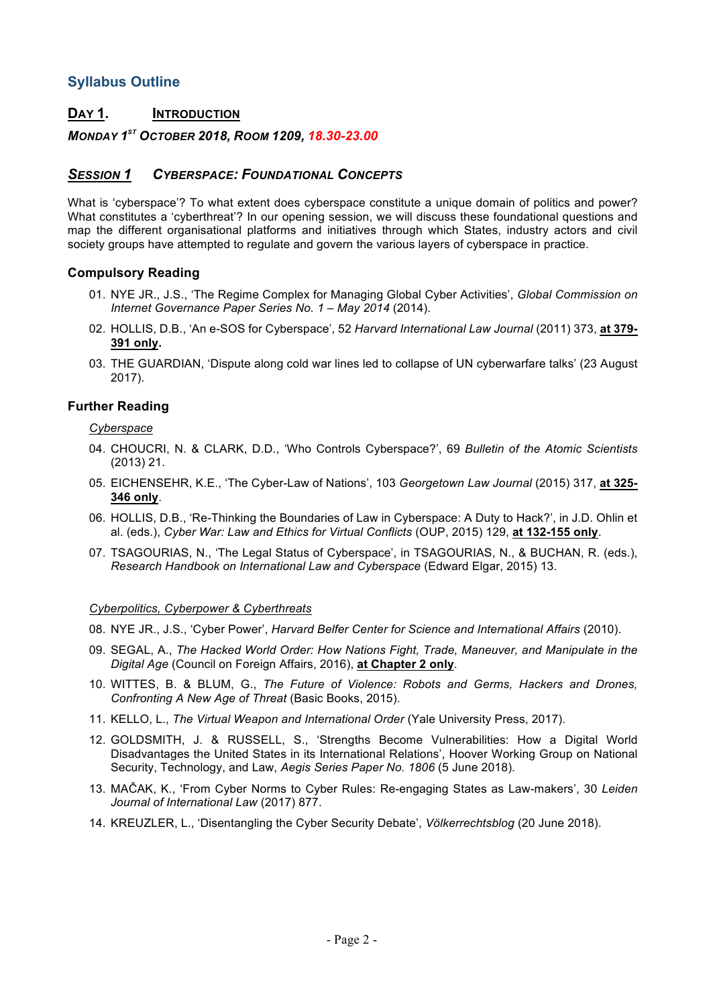# **Syllabus Outline**

# **DAY 1. INTRODUCTION**

### *MONDAY 1ST OCTOBER 2018, ROOM 1209, 18.30-23.00*

# *SESSION 1 CYBERSPACE: FOUNDATIONAL CONCEPTS*

What is 'cyberspace'? To what extent does cyberspace constitute a unique domain of politics and power? What constitutes a 'cyberthreat'? In our opening session, we will discuss these foundational questions and map the different organisational platforms and initiatives through which States, industry actors and civil society groups have attempted to regulate and govern the various layers of cyberspace in practice.

### **Compulsory Reading**

- 01. NYE JR., J.S., 'The Regime Complex for Managing Global Cyber Activities', *Global Commission on Internet Governance Paper Series No. 1 – May 2014* (2014).
- 02. HOLLIS, D.B., 'An e-SOS for Cyberspace', 52 *Harvard International Law Journal* (2011) 373, **at 379- 391 only.**
- 03. THE GUARDIAN, 'Dispute along cold war lines led to collapse of UN cyberwarfare talks' (23 August 2017).

### **Further Reading**

#### *Cyberspace*

- 04. CHOUCRI, N. & CLARK, D.D., 'Who Controls Cyberspace?', 69 *Bulletin of the Atomic Scientists*  (2013) 21.
- 05. EICHENSEHR, K.E., 'The Cyber-Law of Nations', 103 *Georgetown Law Journal* (2015) 317, **at 325- 346 only**.
- 06. HOLLIS, D.B., 'Re-Thinking the Boundaries of Law in Cyberspace: A Duty to Hack?', in J.D. Ohlin et al. (eds.), *Cyber War: Law and Ethics for Virtual Conflicts* (OUP, 2015) 129, **at 132-155 only**.
- 07. TSAGOURIAS, N., 'The Legal Status of Cyberspace', in TSAGOURIAS, N., & BUCHAN, R. (eds.), *Research Handbook on International Law and Cyberspace* (Edward Elgar, 2015) 13.

#### *Cyberpolitics, Cyberpower & Cyberthreats*

- 08. NYE JR., J.S., 'Cyber Power', *Harvard Belfer Center for Science and International Affairs* (2010).
- 09. SEGAL, A., *The Hacked World Order: How Nations Fight, Trade, Maneuver, and Manipulate in the Digital Age* (Council on Foreign Affairs, 2016), **at Chapter 2 only**.
- 10. WITTES, B. & BLUM, G., *The Future of Violence: Robots and Germs, Hackers and Drones, Confronting A New Age of Threat* (Basic Books, 2015).
- 11. KELLO, L., *The Virtual Weapon and International Order* (Yale University Press, 2017).
- 12. GOLDSMITH, J. & RUSSELL, S., 'Strengths Become Vulnerabilities: How a Digital World Disadvantages the United States in its International Relations', Hoover Working Group on National Security, Technology, and Law, *Aegis Series Paper No. 1806* (5 June 2018).
- 13. MAČAK, K., 'From Cyber Norms to Cyber Rules: Re-engaging States as Law-makers', 30 *Leiden Journal of International Law* (2017) 877.
- 14. KREUZLER, L., 'Disentangling the Cyber Security Debate', *Völkerrechtsblog* (20 June 2018).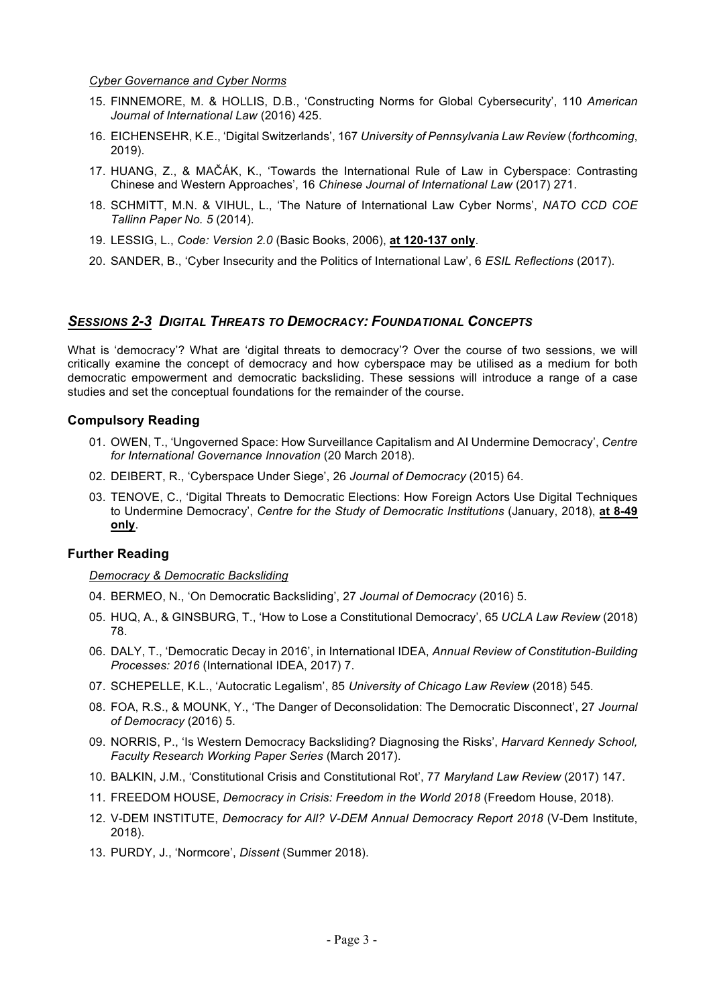*Cyber Governance and Cyber Norms*

- 15. FINNEMORE, M. & HOLLIS, D.B., 'Constructing Norms for Global Cybersecurity', 110 *American Journal of International Law* (2016) 425.
- 16. EICHENSEHR, K.E., 'Digital Switzerlands', 167 *University of Pennsylvania Law Review* (*forthcoming*, 2019).
- 17. HUANG, Z., & MAČÁK, K., 'Towards the International Rule of Law in Cyberspace: Contrasting Chinese and Western Approaches', 16 *Chinese Journal of International Law* (2017) 271.
- 18. SCHMITT, M.N. & VIHUL, L., 'The Nature of International Law Cyber Norms', *NATO CCD COE Tallinn Paper No. 5* (2014).
- 19. LESSIG, L., *Code: Version 2.0* (Basic Books, 2006), **at 120-137 only**.
- 20. SANDER, B., 'Cyber Insecurity and the Politics of International Law', 6 *ESIL Reflections* (2017).

### *SESSIONS 2-3 DIGITAL THREATS TO DEMOCRACY: FOUNDATIONAL CONCEPTS*

What is 'democracy'? What are 'digital threats to democracy'? Over the course of two sessions, we will critically examine the concept of democracy and how cyberspace may be utilised as a medium for both democratic empowerment and democratic backsliding. These sessions will introduce a range of a case studies and set the conceptual foundations for the remainder of the course.

#### **Compulsory Reading**

- 01. OWEN, T., 'Ungoverned Space: How Surveillance Capitalism and AI Undermine Democracy', *Centre for International Governance Innovation* (20 March 2018).
- 02. DEIBERT, R., 'Cyberspace Under Siege', 26 *Journal of Democracy* (2015) 64.
- 03. TENOVE, C., 'Digital Threats to Democratic Elections: How Foreign Actors Use Digital Techniques to Undermine Democracy', *Centre for the Study of Democratic Institutions* (January, 2018), **at 8-49 only**.

### **Further Reading**

#### *Democracy & Democratic Backsliding*

- 04. BERMEO, N., 'On Democratic Backsliding', 27 *Journal of Democracy* (2016) 5.
- 05. HUQ, A., & GINSBURG, T., 'How to Lose a Constitutional Democracy', 65 *UCLA Law Review* (2018) 78.
- 06. DALY, T., 'Democratic Decay in 2016', in International IDEA, *Annual Review of Constitution-Building Processes: 2016* (International IDEA, 2017) 7.
- 07. SCHEPELLE, K.L., 'Autocratic Legalism', 85 *University of Chicago Law Review* (2018) 545.
- 08. FOA, R.S., & MOUNK, Y., 'The Danger of Deconsolidation: The Democratic Disconnect', 27 *Journal of Democracy* (2016) 5.
- 09. NORRIS, P., 'Is Western Democracy Backsliding? Diagnosing the Risks', *Harvard Kennedy School, Faculty Research Working Paper Series* (March 2017).
- 10. BALKIN, J.M., 'Constitutional Crisis and Constitutional Rot', 77 *Maryland Law Review* (2017) 147.
- 11. FREEDOM HOUSE, *Democracy in Crisis: Freedom in the World 2018* (Freedom House, 2018).
- 12. V-DEM INSTITUTE, *Democracy for All? V-DEM Annual Democracy Report 2018* (V-Dem Institute, 2018).
- 13. PURDY, J., 'Normcore', *Dissent* (Summer 2018).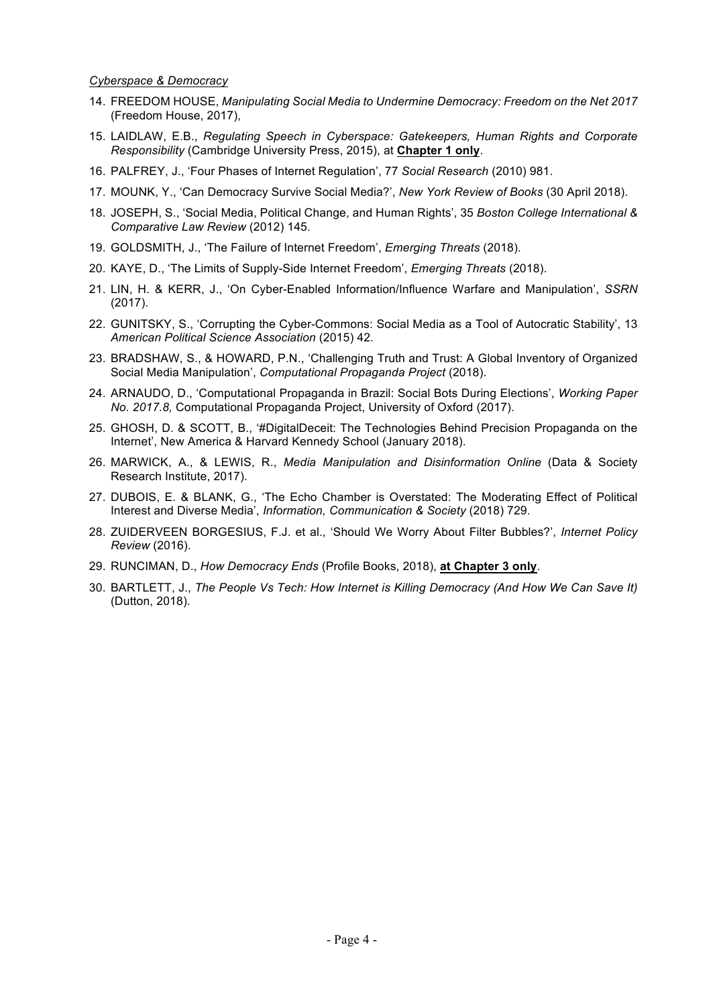#### *Cyberspace & Democracy*

- 14. FREEDOM HOUSE, *Manipulating Social Media to Undermine Democracy: Freedom on the Net 2017*  (Freedom House, 2017),
- 15. LAIDLAW, E.B., *Regulating Speech in Cyberspace: Gatekeepers, Human Rights and Corporate Responsibility* (Cambridge University Press, 2015), at **Chapter 1 only**.
- 16. PALFREY, J., 'Four Phases of Internet Regulation', 77 *Social Research* (2010) 981.
- 17. MOUNK, Y., 'Can Democracy Survive Social Media?', *New York Review of Books* (30 April 2018).
- 18. JOSEPH, S., 'Social Media, Political Change, and Human Rights', 35 *Boston College International & Comparative Law Review* (2012) 145.
- 19. GOLDSMITH, J., 'The Failure of Internet Freedom', *Emerging Threats* (2018).
- 20. KAYE, D., 'The Limits of Supply-Side Internet Freedom', *Emerging Threats* (2018).
- 21. LIN, H. & KERR, J., 'On Cyber-Enabled Information/Influence Warfare and Manipulation', *SSRN* (2017).
- 22. GUNITSKY, S., 'Corrupting the Cyber-Commons: Social Media as a Tool of Autocratic Stability', 13 *American Political Science Association* (2015) 42.
- 23. BRADSHAW, S., & HOWARD, P.N., 'Challenging Truth and Trust: A Global Inventory of Organized Social Media Manipulation', *Computational Propaganda Project* (2018).
- 24. ARNAUDO, D., 'Computational Propaganda in Brazil: Social Bots During Elections', *Working Paper No. 2017.8,* Computational Propaganda Project, University of Oxford (2017).
- 25. GHOSH, D. & SCOTT, B., '#DigitalDeceit: The Technologies Behind Precision Propaganda on the Internet', New America & Harvard Kennedy School (January 2018).
- 26. MARWICK, A., & LEWIS, R., *Media Manipulation and Disinformation Online* (Data & Society Research Institute, 2017).
- 27. DUBOIS, E. & BLANK, G., 'The Echo Chamber is Overstated: The Moderating Effect of Political Interest and Diverse Media', *Information, Communication & Society* (2018) 729.
- 28. ZUIDERVEEN BORGESIUS, F.J. et al., 'Should We Worry About Filter Bubbles?', *Internet Policy Review* (2016).
- 29. RUNCIMAN, D., *How Democracy Ends* (Profile Books, 2018), **at Chapter 3 only**.
- 30. BARTLETT, J., *The People Vs Tech: How Internet is Killing Democracy (And How We Can Save It)*  (Dutton, 2018).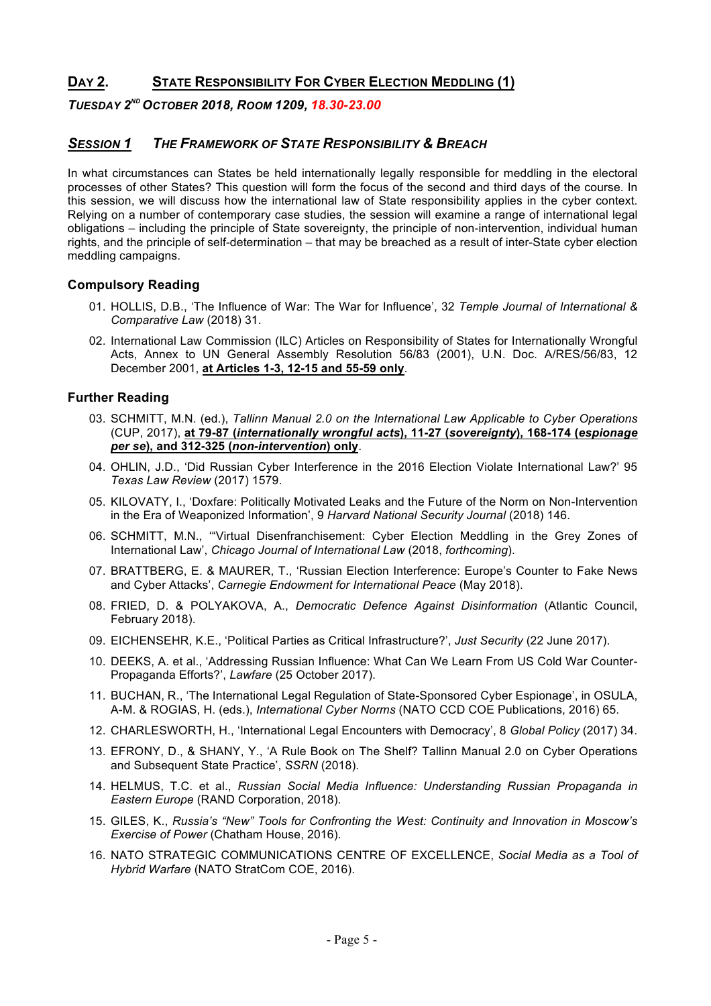# **DAY 2. STATE RESPONSIBILITY FOR CYBER ELECTION MEDDLING (1)**

*TUESDAY 2ND OCTOBER 2018, ROOM 1209, 18.30-23.00*

# *SESSION 1 THE FRAMEWORK OF STATE RESPONSIBILITY & BREACH*

In what circumstances can States be held internationally legally responsible for meddling in the electoral processes of other States? This question will form the focus of the second and third days of the course. In this session, we will discuss how the international law of State responsibility applies in the cyber context. Relying on a number of contemporary case studies, the session will examine a range of international legal obligations – including the principle of State sovereignty, the principle of non-intervention, individual human rights, and the principle of self-determination – that may be breached as a result of inter-State cyber election meddling campaigns.

### **Compulsory Reading**

- 01. HOLLIS, D.B., 'The Influence of War: The War for Influence', 32 *Temple Journal of International & Comparative Law* (2018) 31.
- 02. International Law Commission (ILC) Articles on Responsibility of States for Internationally Wrongful Acts, Annex to UN General Assembly Resolution 56/83 (2001), U.N. Doc. A/RES/56/83, 12 December 2001, **at Articles 1-3, 12-15 and 55-59 only**.

- 03. SCHMITT, M.N. (ed.), *Tallinn Manual 2.0 on the International Law Applicable to Cyber Operations*  (CUP, 2017), **at 79-87 (***internationally wrongful acts***), 11-27 (***sovereignty***), 168-174 (***espionage per se***), and 312-325 (***non-intervention***) only**.
- 04. OHLIN, J.D., 'Did Russian Cyber Interference in the 2016 Election Violate International Law?' 95 *Texas Law Review* (2017) 1579.
- 05. KILOVATY, I., 'Doxfare: Politically Motivated Leaks and the Future of the Norm on Non-Intervention in the Era of Weaponized Information', 9 *Harvard National Security Journal* (2018) 146.
- 06. SCHMITT, M.N., '"Virtual Disenfranchisement: Cyber Election Meddling in the Grey Zones of International Law', *Chicago Journal of International Law* (2018, *forthcoming*).
- 07. BRATTBERG, E. & MAURER, T., 'Russian Election Interference: Europe's Counter to Fake News and Cyber Attacks', *Carnegie Endowment for International Peace* (May 2018).
- 08. FRIED, D. & POLYAKOVA, A., *Democratic Defence Against Disinformation* (Atlantic Council, February 2018).
- 09. EICHENSEHR, K.E., 'Political Parties as Critical Infrastructure?', *Just Security* (22 June 2017).
- 10. DEEKS, A. et al., 'Addressing Russian Influence: What Can We Learn From US Cold War Counter-Propaganda Efforts?', *Lawfare* (25 October 2017).
- 11. BUCHAN, R., 'The International Legal Regulation of State-Sponsored Cyber Espionage', in OSULA, A-M. & ROGIAS, H. (eds.), *International Cyber Norms* (NATO CCD COE Publications, 2016) 65.
- 12. CHARLESWORTH, H., 'International Legal Encounters with Democracy', 8 *Global Policy* (2017) 34.
- 13. EFRONY, D., & SHANY, Y., 'A Rule Book on The Shelf? Tallinn Manual 2.0 on Cyber Operations and Subsequent State Practice', *SSRN* (2018).
- 14. HELMUS, T.C. et al., *Russian Social Media Influence: Understanding Russian Propaganda in Eastern Europe* (RAND Corporation, 2018).
- 15. GILES, K., *Russia's "New" Tools for Confronting the West: Continuity and Innovation in Moscow's Exercise of Power* (Chatham House, 2016).
- 16. NATO STRATEGIC COMMUNICATIONS CENTRE OF EXCELLENCE, *Social Media as a Tool of Hybrid Warfare* (NATO StratCom COE, 2016).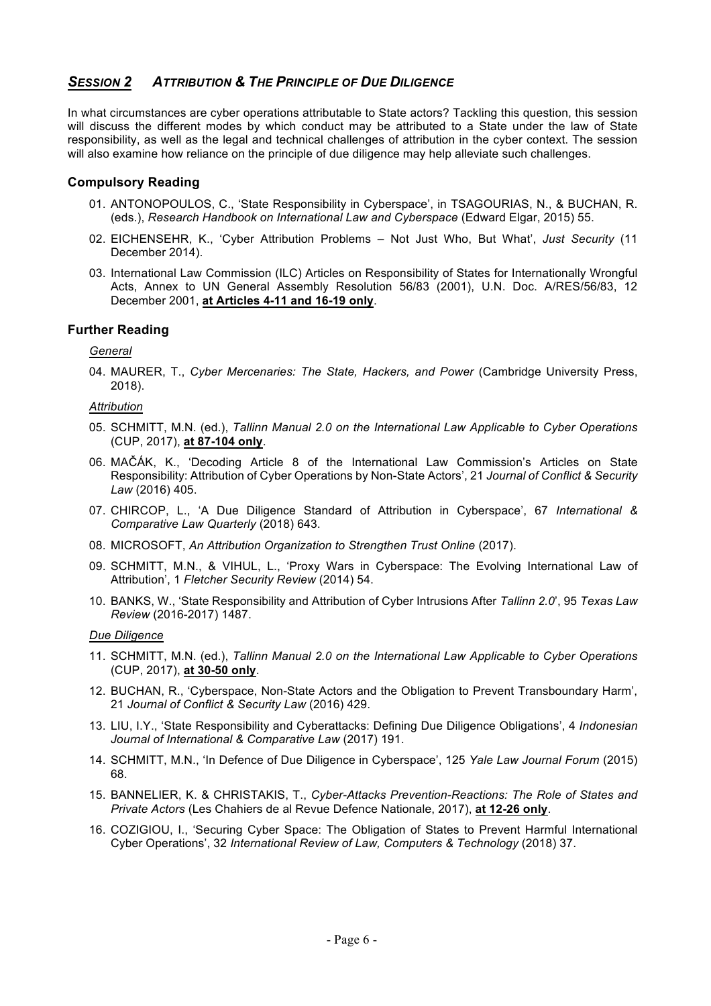# *SESSION 2 ATTRIBUTION & THE PRINCIPLE OF DUE DILIGENCE*

In what circumstances are cyber operations attributable to State actors? Tackling this question, this session will discuss the different modes by which conduct may be attributed to a State under the law of State responsibility, as well as the legal and technical challenges of attribution in the cyber context. The session will also examine how reliance on the principle of due diligence may help alleviate such challenges.

### **Compulsory Reading**

- 01. ANTONOPOULOS, C., 'State Responsibility in Cyberspace', in TSAGOURIAS, N., & BUCHAN, R. (eds.), *Research Handbook on International Law and Cyberspace* (Edward Elgar, 2015) 55.
- 02. EICHENSEHR, K., 'Cyber Attribution Problems Not Just Who, But What', *Just Security* (11 December 2014).
- 03. International Law Commission (ILC) Articles on Responsibility of States for Internationally Wrongful Acts, Annex to UN General Assembly Resolution 56/83 (2001), U.N. Doc. A/RES/56/83, 12 December 2001, **at Articles 4-11 and 16-19 only**.

### **Further Reading**

*General*

04. MAURER, T., *Cyber Mercenaries: The State, Hackers, and Power* (Cambridge University Press, 2018).

#### *Attribution*

- 05. SCHMITT, M.N. (ed.), *Tallinn Manual 2.0 on the International Law Applicable to Cyber Operations*  (CUP, 2017), **at 87-104 only**.
- 06. MAČÁK, K., 'Decoding Article 8 of the International Law Commission's Articles on State Responsibility: Attribution of Cyber Operations by Non-State Actors', 21 *Journal of Conflict & Security Law* (2016) 405.
- 07. CHIRCOP, L., 'A Due Diligence Standard of Attribution in Cyberspace', 67 *International & Comparative Law Quarterly* (2018) 643.
- 08. MICROSOFT, *An Attribution Organization to Strengthen Trust Online* (2017).
- 09. SCHMITT, M.N., & VIHUL, L., 'Proxy Wars in Cyberspace: The Evolving International Law of Attribution', 1 *Fletcher Security Review* (2014) 54.
- 10. BANKS, W., 'State Responsibility and Attribution of Cyber Intrusions After *Tallinn 2.0*', 95 *Texas Law Review* (2016-2017) 1487.

#### *Due Diligence*

- 11. SCHMITT, M.N. (ed.), *Tallinn Manual 2.0 on the International Law Applicable to Cyber Operations*  (CUP, 2017), **at 30-50 only**.
- 12. BUCHAN, R., 'Cyberspace, Non-State Actors and the Obligation to Prevent Transboundary Harm', 21 *Journal of Conflict & Security Law* (2016) 429.
- 13. LIU, I.Y., 'State Responsibility and Cyberattacks: Defining Due Diligence Obligations', 4 *Indonesian Journal of International & Comparative Law* (2017) 191.
- 14. SCHMITT, M.N., 'In Defence of Due Diligence in Cyberspace', 125 *Yale Law Journal Forum* (2015) 68.
- 15. BANNELIER, K. & CHRISTAKIS, T., *Cyber-Attacks Prevention-Reactions: The Role of States and Private Actors* (Les Chahiers de al Revue Defence Nationale, 2017), **at 12-26 only**.
- 16. COZIGIOU, I., 'Securing Cyber Space: The Obligation of States to Prevent Harmful International Cyber Operations', 32 *International Review of Law, Computers & Technology* (2018) 37.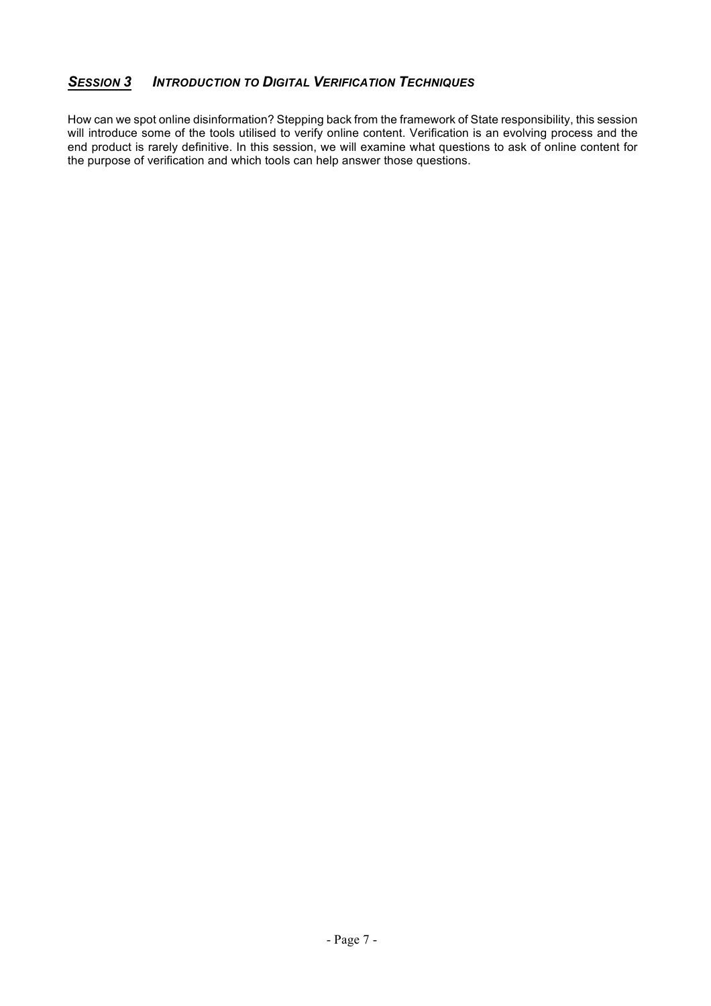# *SESSION 3 INTRODUCTION TO DIGITAL VERIFICATION TECHNIQUES*

How can we spot online disinformation? Stepping back from the framework of State responsibility, this session will introduce some of the tools utilised to verify online content. Verification is an evolving process and the end product is rarely definitive. In this session, we will examine what questions to ask of online content for the purpose of verification and which tools can help answer those questions.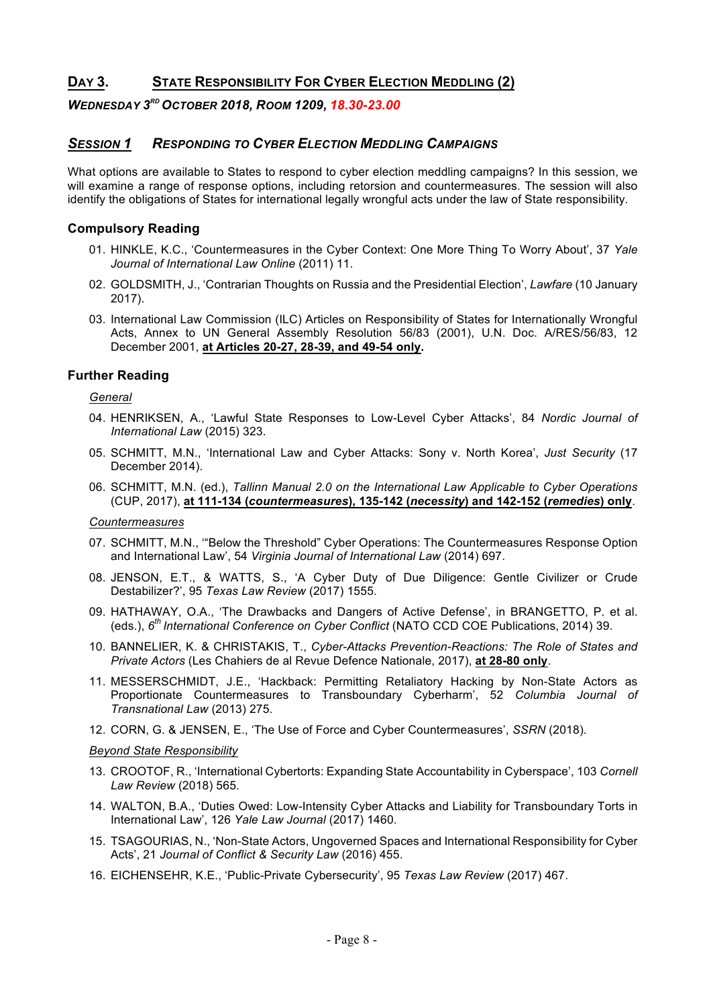# **DAY 3. STATE RESPONSIBILITY FOR CYBER ELECTION MEDDLING (2)**

### *WEDNESDAY 3RD OCTOBER 2018, ROOM 1209, 18.30-23.00*

### *SESSION 1 RESPONDING TO CYBER ELECTION MEDDLING CAMPAIGNS*

What options are available to States to respond to cyber election meddling campaigns? In this session, we will examine a range of response options, including retorsion and countermeasures. The session will also identify the obligations of States for international legally wrongful acts under the law of State responsibility.

### **Compulsory Reading**

- 01. HINKLE, K.C., 'Countermeasures in the Cyber Context: One More Thing To Worry About', 37 *Yale Journal of International Law Online* (2011) 11.
- 02. GOLDSMITH, J., 'Contrarian Thoughts on Russia and the Presidential Election', *Lawfare* (10 January 2017).
- 03. International Law Commission (ILC) Articles on Responsibility of States for Internationally Wrongful Acts, Annex to UN General Assembly Resolution 56/83 (2001), U.N. Doc. A/RES/56/83, 12 December 2001, **at Articles 20-27, 28-39, and 49-54 only.**

### **Further Reading**

*General*

- 04. HENRIKSEN, A., 'Lawful State Responses to Low-Level Cyber Attacks', 84 *Nordic Journal of International Law* (2015) 323.
- 05. SCHMITT, M.N., 'International Law and Cyber Attacks: Sony v. North Korea', *Just Security* (17 December 2014).
- 06. SCHMITT, M.N. (ed.), *Tallinn Manual 2.0 on the International Law Applicable to Cyber Operations*  (CUP, 2017), **at 111-134 (***countermeasures***), 135-142 (***necessity***) and 142-152 (***remedies***) only**.

*Countermeasures*

- 07. SCHMITT, M.N., '"Below the Threshold" Cyber Operations: The Countermeasures Response Option and International Law', 54 *Virginia Journal of International Law* (2014) 697.
- 08. JENSON, E.T., & WATTS, S., 'A Cyber Duty of Due Diligence: Gentle Civilizer or Crude Destabilizer?', 95 *Texas Law Review* (2017) 1555.
- 09. HATHAWAY, O.A., 'The Drawbacks and Dangers of Active Defense', in BRANGETTO, P. et al. (eds.), *6th International Conference on Cyber Conflict* (NATO CCD COE Publications, 2014) 39.
- 10. BANNELIER, K. & CHRISTAKIS, T., *Cyber-Attacks Prevention-Reactions: The Role of States and Private Actors* (Les Chahiers de al Revue Defence Nationale, 2017), **at 28-80 only**.
- 11. MESSERSCHMIDT, J.E., 'Hackback: Permitting Retaliatory Hacking by Non-State Actors as Proportionate Countermeasures to Transboundary Cyberharm', 52 *Columbia Journal of Transnational Law* (2013) 275.
- 12. CORN, G. & JENSEN, E., 'The Use of Force and Cyber Countermeasures', *SSRN* (2018).

#### *Beyond State Responsibility*

- 13. CROOTOF, R., 'International Cybertorts: Expanding State Accountability in Cyberspace', 103 *Cornell Law Review* (2018) 565.
- 14. WALTON, B.A., 'Duties Owed: Low-Intensity Cyber Attacks and Liability for Transboundary Torts in International Law', 126 *Yale Law Journal* (2017) 1460.
- 15. TSAGOURIAS, N., 'Non-State Actors, Ungoverned Spaces and International Responsibility for Cyber Acts', 21 *Journal of Conflict & Security Law* (2016) 455.
- 16. EICHENSEHR, K.E., 'Public-Private Cybersecurity', 95 *Texas Law Review* (2017) 467.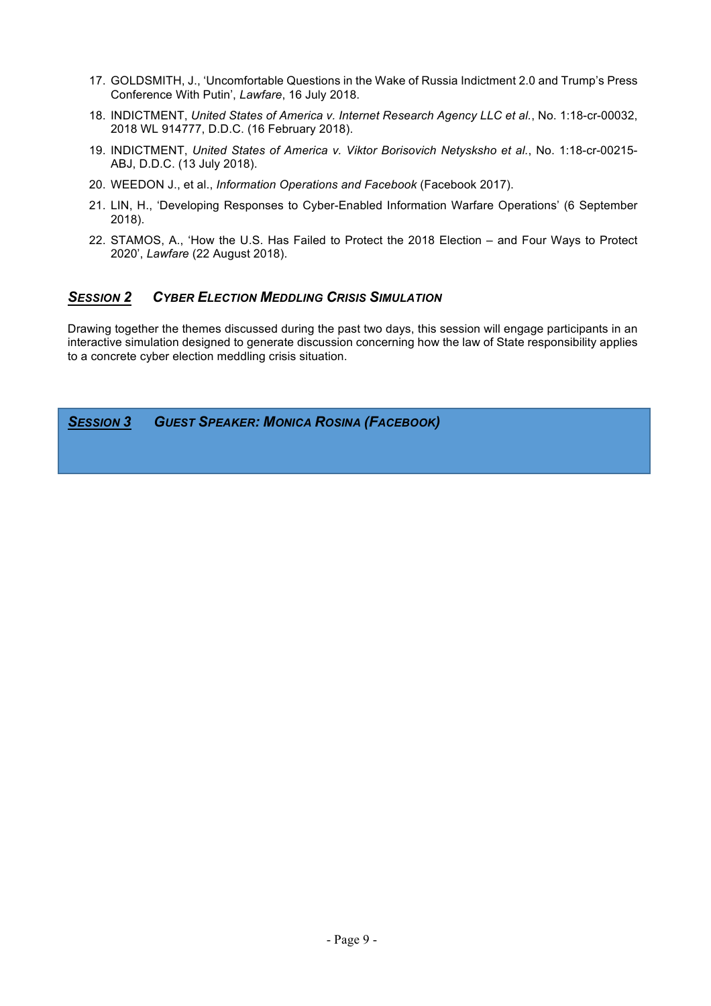- 17. GOLDSMITH, J., 'Uncomfortable Questions in the Wake of Russia Indictment 2.0 and Trump's Press Conference With Putin', *Lawfare*, 16 July 2018.
- 18. INDICTMENT, *United States of America v. Internet Research Agency LLC et al.*, No. 1:18-cr-00032, 2018 WL 914777, D.D.C. (16 February 2018).
- 19. INDICTMENT, *United States of America v. Viktor Borisovich Netysksho et al.*, No. 1:18-cr-00215- ABJ, D.D.C. (13 July 2018).
- 20. WEEDON J., et al., *Information Operations and Facebook* (Facebook 2017).
- 21. LIN, H., 'Developing Responses to Cyber-Enabled Information Warfare Operations' (6 September 2018).
- 22. STAMOS, A., 'How the U.S. Has Failed to Protect the 2018 Election and Four Ways to Protect 2020', *Lawfare* (22 August 2018).

# *SESSION 2 CYBER ELECTION MEDDLING CRISIS SIMULATION*

Drawing together the themes discussed during the past two days, this session will engage participants in an interactive simulation designed to generate discussion concerning how the law of State responsibility applies to a concrete cyber election meddling crisis situation.

*SESSION 3 GUEST SPEAKER: MONICA ROSINA (FACEBOOK)*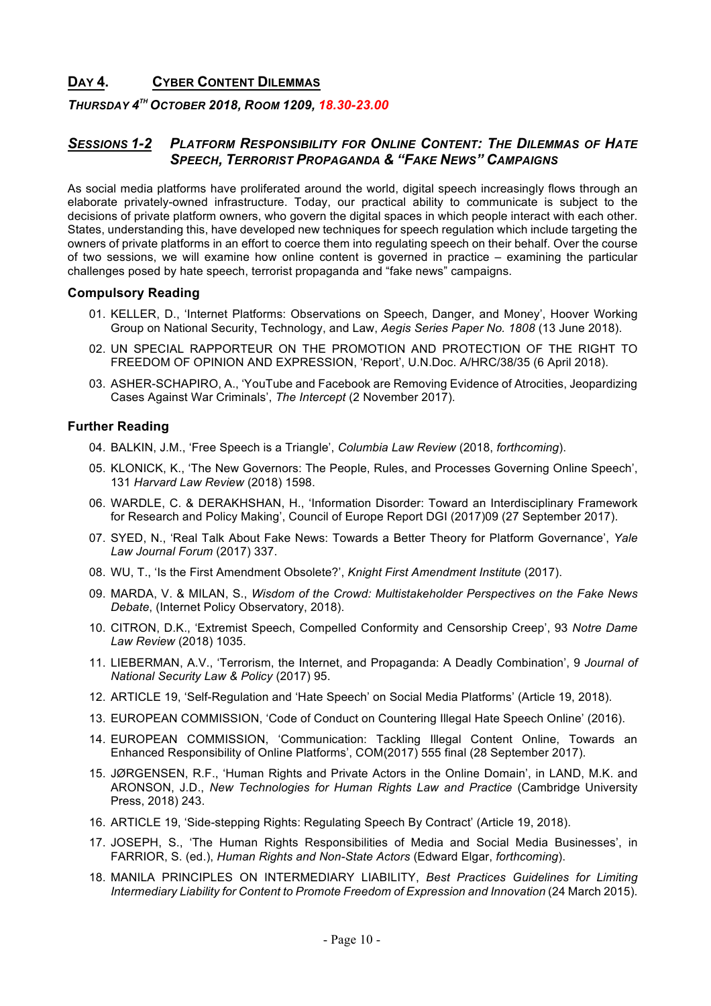# **DAY 4. CYBER CONTENT DILEMMAS**

### *THURSDAY 4TH OCTOBER 2018, ROOM 1209, 18.30-23.00*

# *SESSIONS 1-2 PLATFORM RESPONSIBILITY FOR ONLINE CONTENT: THE DILEMMAS OF HATE SPEECH, TERRORIST PROPAGANDA & "FAKE NEWS" CAMPAIGNS*

As social media platforms have proliferated around the world, digital speech increasingly flows through an elaborate privately-owned infrastructure. Today, our practical ability to communicate is subject to the decisions of private platform owners, who govern the digital spaces in which people interact with each other. States, understanding this, have developed new techniques for speech regulation which include targeting the owners of private platforms in an effort to coerce them into regulating speech on their behalf. Over the course of two sessions, we will examine how online content is governed in practice – examining the particular challenges posed by hate speech, terrorist propaganda and "fake news" campaigns.

### **Compulsory Reading**

- 01. KELLER, D., 'Internet Platforms: Observations on Speech, Danger, and Money', Hoover Working Group on National Security, Technology, and Law, *Aegis Series Paper No. 1808* (13 June 2018).
- 02. UN SPECIAL RAPPORTEUR ON THE PROMOTION AND PROTECTION OF THE RIGHT TO FREEDOM OF OPINION AND EXPRESSION, 'Report', U.N.Doc. A/HRC/38/35 (6 April 2018).
- 03. ASHER-SCHAPIRO, A., 'YouTube and Facebook are Removing Evidence of Atrocities, Jeopardizing Cases Against War Criminals', *The Intercept* (2 November 2017).

- 04. BALKIN, J.M., 'Free Speech is a Triangle', *Columbia Law Review* (2018, *forthcoming*).
- 05. KLONICK, K., 'The New Governors: The People, Rules, and Processes Governing Online Speech', 131 *Harvard Law Review* (2018) 1598.
- 06. WARDLE, C. & DERAKHSHAN, H., 'Information Disorder: Toward an Interdisciplinary Framework for Research and Policy Making', Council of Europe Report DGI (2017)09 (27 September 2017).
- 07. SYED, N., 'Real Talk About Fake News: Towards a Better Theory for Platform Governance', *Yale Law Journal Forum* (2017) 337.
- 08. WU, T., 'Is the First Amendment Obsolete?', *Knight First Amendment Institute* (2017).
- 09. MARDA, V. & MILAN, S., *Wisdom of the Crowd: Multistakeholder Perspectives on the Fake News Debate*, (Internet Policy Observatory, 2018).
- 10. CITRON, D.K., 'Extremist Speech, Compelled Conformity and Censorship Creep', 93 *Notre Dame Law Review* (2018) 1035.
- 11. LIEBERMAN, A.V., 'Terrorism, the Internet, and Propaganda: A Deadly Combination', 9 *Journal of National Security Law & Policy* (2017) 95.
- 12. ARTICLE 19, 'Self-Regulation and 'Hate Speech' on Social Media Platforms' (Article 19, 2018).
- 13. EUROPEAN COMMISSION, 'Code of Conduct on Countering Illegal Hate Speech Online' (2016).
- 14. EUROPEAN COMMISSION, 'Communication: Tackling Illegal Content Online, Towards an Enhanced Responsibility of Online Platforms', COM(2017) 555 final (28 September 2017).
- 15. JØRGENSEN, R.F., 'Human Rights and Private Actors in the Online Domain', in LAND, M.K. and ARONSON, J.D., *New Technologies for Human Rights Law and Practice* (Cambridge University Press, 2018) 243.
- 16. ARTICLE 19, 'Side-stepping Rights: Regulating Speech By Contract' (Article 19, 2018).
- 17. JOSEPH, S., 'The Human Rights Responsibilities of Media and Social Media Businesses', in FARRIOR, S. (ed.), *Human Rights and Non-State Actors* (Edward Elgar, *forthcoming*).
- 18. MANILA PRINCIPLES ON INTERMEDIARY LIABILITY, *Best Practices Guidelines for Limiting Intermediary Liability for Content to Promote Freedom of Expression and Innovation* (24 March 2015).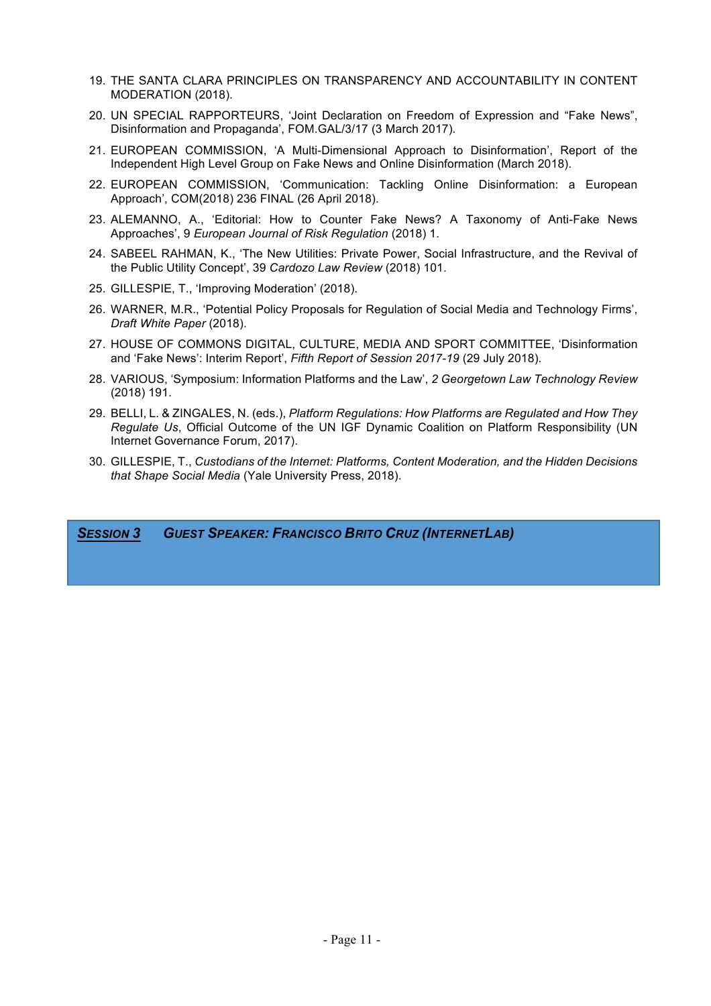- 19. THE SANTA CLARA PRINCIPLES ON TRANSPARENCY AND ACCOUNTABILITY IN CONTENT MODERATION (2018).
- 20. UN SPECIAL RAPPORTEURS, 'Joint Declaration on Freedom of Expression and "Fake News", Disinformation and Propaganda', FOM.GAL/3/17 (3 March 2017).
- 21. EUROPEAN COMMISSION, 'A Multi-Dimensional Approach to Disinformation', Report of the Independent High Level Group on Fake News and Online Disinformation (March 2018).
- 22. EUROPEAN COMMISSION, 'Communication: Tackling Online Disinformation: a European Approach', COM(2018) 236 FINAL (26 April 2018).
- 23. ALEMANNO, A., 'Editorial: How to Counter Fake News? A Taxonomy of Anti-Fake News Approaches', 9 *European Journal of Risk Regulation* (2018) 1.
- 24. SABEEL RAHMAN, K., 'The New Utilities: Private Power, Social Infrastructure, and the Revival of the Public Utility Concept', 39 *Cardozo Law Review* (2018) 101.
- 25. GILLESPIE, T., 'Improving Moderation' (2018).
- 26. WARNER, M.R., 'Potential Policy Proposals for Regulation of Social Media and Technology Firms', *Draft White Paper* (2018).
- 27. HOUSE OF COMMONS DIGITAL, CULTURE, MEDIA AND SPORT COMMITTEE, 'Disinformation and 'Fake News': Interim Report', *Fifth Report of Session 2017-19* (29 July 2018).
- 28. VARIOUS, 'Symposium: Information Platforms and the Law', *2 Georgetown Law Technology Review*  (2018) 191.
- 29. BELLI, L. & ZINGALES, N. (eds.), *Platform Regulations: How Platforms are Regulated and How They Regulate Us*, Official Outcome of the UN IGF Dynamic Coalition on Platform Responsibility (UN Internet Governance Forum, 2017).
- 30. GILLESPIE, T., *Custodians of the Internet: Platforms, Content Moderation, and the Hidden Decisions that Shape Social Media* (Yale University Press, 2018).

*SESSION 3 GUEST SPEAKER: FRANCISCO BRITO CRUZ (INTERNETLAB)*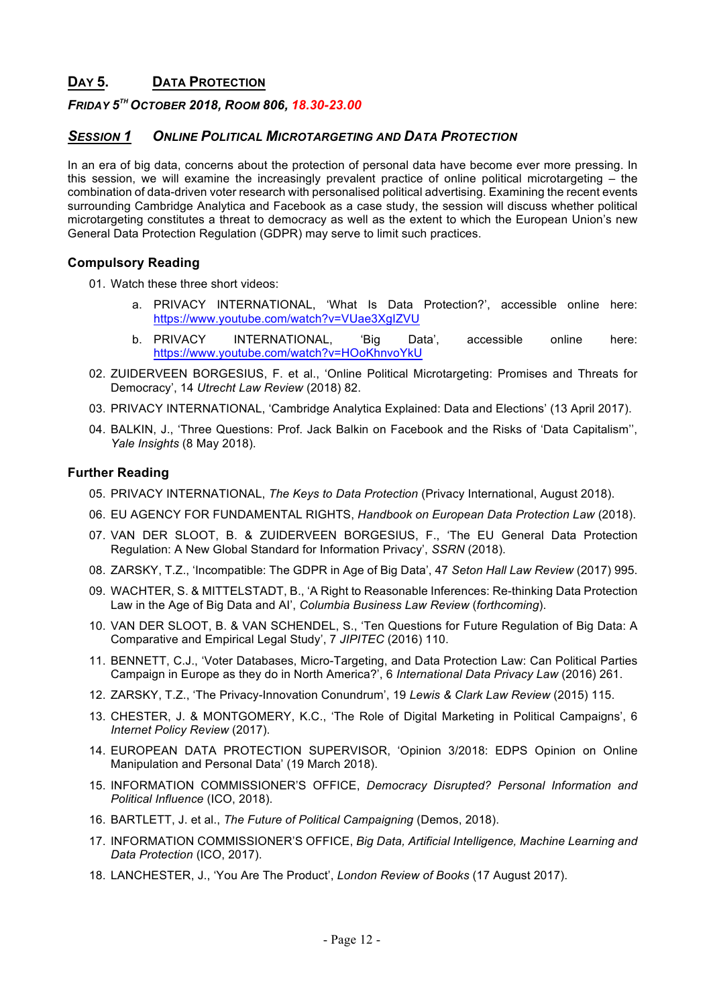# **DAY 5. DATA PROTECTION**

### *FRIDAY 5TH OCTOBER 2018, ROOM 806, 18.30-23.00*

### *SESSION 1 ONLINE POLITICAL MICROTARGETING AND DATA PROTECTION*

In an era of big data, concerns about the protection of personal data have become ever more pressing. In this session, we will examine the increasingly prevalent practice of online political microtargeting – the combination of data-driven voter research with personalised political advertising. Examining the recent events surrounding Cambridge Analytica and Facebook as a case study, the session will discuss whether political microtargeting constitutes a threat to democracy as well as the extent to which the European Union's new General Data Protection Regulation (GDPR) may serve to limit such practices.

### **Compulsory Reading**

- 01. Watch these three short videos:
	- a. PRIVACY INTERNATIONAL, 'What Is Data Protection?', accessible online here: https://www.youtube.com/watch?v=VUae3XgIZVU
	- b. PRIVACY INTERNATIONAL, 'Big Data', accessible online here: https://www.youtube.com/watch?v=HOoKhnvoYkU
- 02. ZUIDERVEEN BORGESIUS, F. et al., 'Online Political Microtargeting: Promises and Threats for Democracy', 14 *Utrecht Law Review* (2018) 82.
- 03. PRIVACY INTERNATIONAL, 'Cambridge Analytica Explained: Data and Elections' (13 April 2017).
- 04. BALKIN, J., 'Three Questions: Prof. Jack Balkin on Facebook and the Risks of 'Data Capitalism'', *Yale Insights* (8 May 2018).

- 05. PRIVACY INTERNATIONAL, *The Keys to Data Protection* (Privacy International, August 2018).
- 06. EU AGENCY FOR FUNDAMENTAL RIGHTS, *Handbook on European Data Protection Law* (2018).
- 07. VAN DER SLOOT, B. & ZUIDERVEEN BORGESIUS, F., 'The EU General Data Protection Regulation: A New Global Standard for Information Privacy', *SSRN* (2018).
- 08. ZARSKY, T.Z., 'Incompatible: The GDPR in Age of Big Data', 47 *Seton Hall Law Review* (2017) 995.
- 09. WACHTER, S. & MITTELSTADT, B., 'A Right to Reasonable Inferences: Re-thinking Data Protection Law in the Age of Big Data and AI', *Columbia Business Law Review* (*forthcoming*).
- 10. VAN DER SLOOT, B. & VAN SCHENDEL, S., 'Ten Questions for Future Regulation of Big Data: A Comparative and Empirical Legal Study', 7 *JIPITEC* (2016) 110.
- 11. BENNETT, C.J., 'Voter Databases, Micro-Targeting, and Data Protection Law: Can Political Parties Campaign in Europe as they do in North America?', 6 *International Data Privacy Law* (2016) 261.
- 12. ZARSKY, T.Z., 'The Privacy-Innovation Conundrum', 19 *Lewis & Clark Law Review* (2015) 115.
- 13. CHESTER, J. & MONTGOMERY, K.C., 'The Role of Digital Marketing in Political Campaigns', 6 *Internet Policy Review* (2017).
- 14. EUROPEAN DATA PROTECTION SUPERVISOR, 'Opinion 3/2018: EDPS Opinion on Online Manipulation and Personal Data' (19 March 2018).
- 15. INFORMATION COMMISSIONER'S OFFICE, *Democracy Disrupted? Personal Information and Political Influence* (ICO, 2018).
- 16. BARTLETT, J. et al., *The Future of Political Campaigning* (Demos, 2018).
- 17. INFORMATION COMMISSIONER'S OFFICE, *Big Data, Artificial Intelligence, Machine Learning and Data Protection* (ICO, 2017).
- 18. LANCHESTER, J., 'You Are The Product', *London Review of Books* (17 August 2017).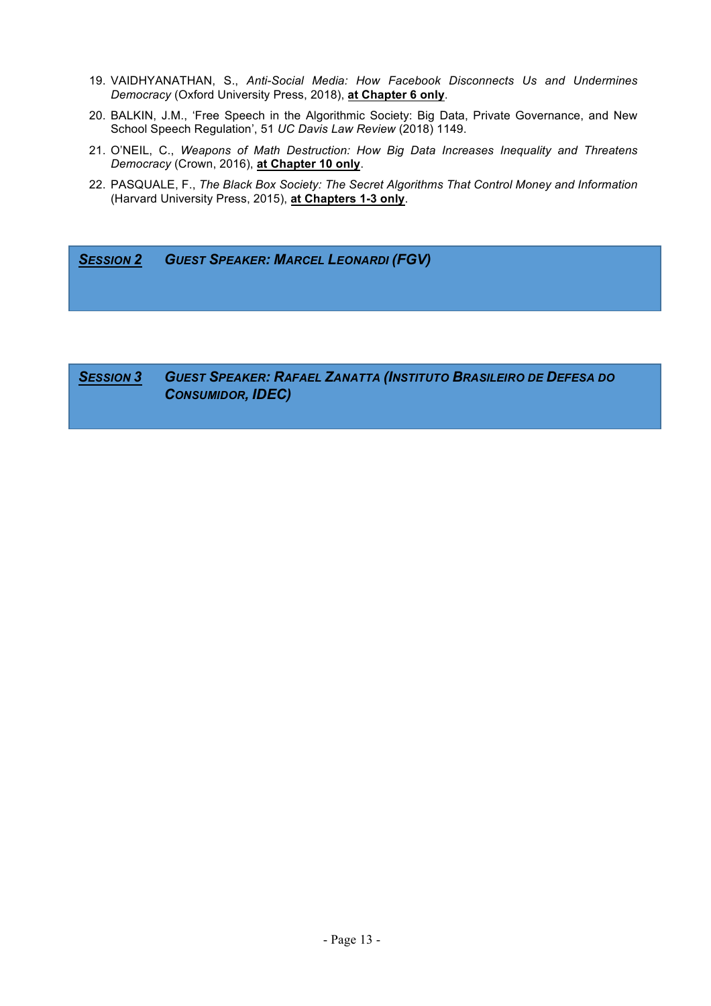- 19. VAIDHYANATHAN, S., *Anti-Social Media: How Facebook Disconnects Us and Undermines Democracy* (Oxford University Press, 2018), **at Chapter 6 only**.
- 20. BALKIN, J.M., 'Free Speech in the Algorithmic Society: Big Data, Private Governance, and New School Speech Regulation', 51 *UC Davis Law Review* (2018) 1149.
- 21. O'NEIL, C., *Weapons of Math Destruction: How Big Data Increases Inequality and Threatens Democracy* (Crown, 2016), **at Chapter 10 only**.
- 22. PASQUALE, F., *The Black Box Society: The Secret Algorithms That Control Money and Information* (Harvard University Press, 2015), **at Chapters 1-3 only**.

*SESSION 2 GUEST SPEAKER: MARCEL LEONARDI (FGV)*

*SESSION 3 GUEST SPEAKER: RAFAEL ZANATTA (INSTITUTO BRASILEIRO DE DEFESA DO CONSUMIDOR, IDEC)*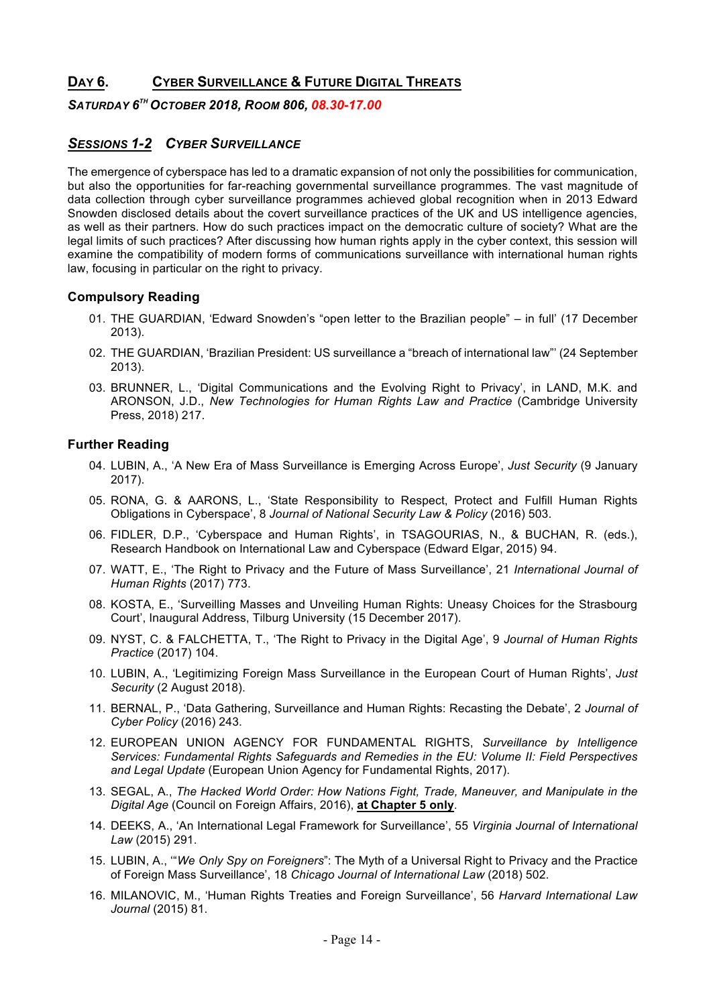# **DAY 6. CYBER SURVEILLANCE & FUTURE DIGITAL THREATS**

### *SATURDAY 6TH OCTOBER 2018, ROOM 806, 08.30-17.00*

# *SESSIONS 1-2 CYBER SURVEILLANCE*

The emergence of cyberspace has led to a dramatic expansion of not only the possibilities for communication, but also the opportunities for far-reaching governmental surveillance programmes. The vast magnitude of data collection through cyber surveillance programmes achieved global recognition when in 2013 Edward Snowden disclosed details about the covert surveillance practices of the UK and US intelligence agencies, as well as their partners. How do such practices impact on the democratic culture of society? What are the legal limits of such practices? After discussing how human rights apply in the cyber context, this session will examine the compatibility of modern forms of communications surveillance with international human rights law, focusing in particular on the right to privacy.

### **Compulsory Reading**

- 01. THE GUARDIAN, 'Edward Snowden's "open letter to the Brazilian people" in full' (17 December 2013).
- 02. THE GUARDIAN, 'Brazilian President: US surveillance a "breach of international law"' (24 September 2013).
- 03. BRUNNER, L., 'Digital Communications and the Evolving Right to Privacy', in LAND, M.K. and ARONSON, J.D., *New Technologies for Human Rights Law and Practice* (Cambridge University Press, 2018) 217.

- 04. LUBIN, A., 'A New Era of Mass Surveillance is Emerging Across Europe', *Just Security* (9 January 2017).
- 05. RONA, G. & AARONS, L., 'State Responsibility to Respect, Protect and Fulfill Human Rights Obligations in Cyberspace', 8 *Journal of National Security Law & Policy* (2016) 503.
- 06. FIDLER, D.P., 'Cyberspace and Human Rights', in TSAGOURIAS, N., & BUCHAN, R. (eds.), Research Handbook on International Law and Cyberspace (Edward Elgar, 2015) 94.
- 07. WATT, E., 'The Right to Privacy and the Future of Mass Surveillance', 21 *International Journal of Human Rights* (2017) 773.
- 08. KOSTA, E., 'Surveilling Masses and Unveiling Human Rights: Uneasy Choices for the Strasbourg Court', Inaugural Address, Tilburg University (15 December 2017).
- 09. NYST, C. & FALCHETTA, T., 'The Right to Privacy in the Digital Age', 9 *Journal of Human Rights Practice* (2017) 104.
- 10. LUBIN, A., 'Legitimizing Foreign Mass Surveillance in the European Court of Human Rights', *Just Security* (2 August 2018).
- 11. BERNAL, P., 'Data Gathering, Surveillance and Human Rights: Recasting the Debate', 2 *Journal of Cyber Policy* (2016) 243.
- 12. EUROPEAN UNION AGENCY FOR FUNDAMENTAL RIGHTS, *Surveillance by Intelligence Services: Fundamental Rights Safeguards and Remedies in the EU: Volume II: Field Perspectives and Legal Update* (European Union Agency for Fundamental Rights, 2017).
- 13. SEGAL, A., *The Hacked World Order: How Nations Fight, Trade, Maneuver, and Manipulate in the Digital Age* (Council on Foreign Affairs, 2016), **at Chapter 5 only**.
- 14. DEEKS, A., 'An International Legal Framework for Surveillance', 55 *Virginia Journal of International Law* (2015) 291.
- 15. LUBIN, A., '"*We Only Spy on Foreigners*": The Myth of a Universal Right to Privacy and the Practice of Foreign Mass Surveillance', 18 *Chicago Journal of International Law* (2018) 502.
- 16. MILANOVIC, M., 'Human Rights Treaties and Foreign Surveillance', 56 *Harvard International Law Journal* (2015) 81.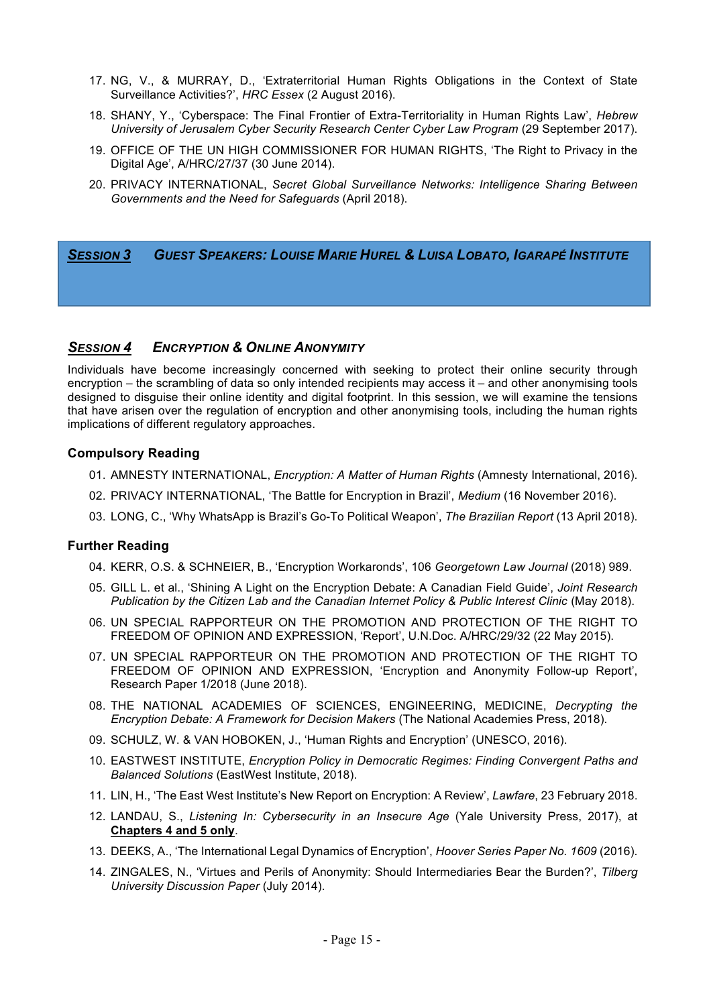- 17. NG, V., & MURRAY, D., 'Extraterritorial Human Rights Obligations in the Context of State Surveillance Activities?', *HRC Essex* (2 August 2016).
- 18. SHANY, Y., 'Cyberspace: The Final Frontier of Extra-Territoriality in Human Rights Law', *Hebrew University of Jerusalem Cyber Security Research Center Cyber Law Program* (29 September 2017).
- 19. OFFICE OF THE UN HIGH COMMISSIONER FOR HUMAN RIGHTS, 'The Right to Privacy in the Digital Age', A/HRC/27/37 (30 June 2014).
- 20. PRIVACY INTERNATIONAL, *Secret Global Surveillance Networks: Intelligence Sharing Between Governments and the Need for Safeguards* (April 2018).

*SESSION 3 GUEST SPEAKERS: LOUISE MARIE HUREL & LUISA LOBATO, IGARAPÉ INSTITUTE*

### *SESSION 4 ENCRYPTION & ONLINE ANONYMITY*

Individuals have become increasingly concerned with seeking to protect their online security through encryption – the scrambling of data so only intended recipients may access it – and other anonymising tools designed to disguise their online identity and digital footprint. In this session, we will examine the tensions that have arisen over the regulation of encryption and other anonymising tools, including the human rights implications of different regulatory approaches.

### **Compulsory Reading**

- 01. AMNESTY INTERNATIONAL, *Encryption: A Matter of Human Rights* (Amnesty International, 2016).
- 02. PRIVACY INTERNATIONAL, 'The Battle for Encryption in Brazil', *Medium* (16 November 2016).
- 03. LONG, C., 'Why WhatsApp is Brazil's Go-To Political Weapon', *The Brazilian Report* (13 April 2018).

- 04. KERR, O.S. & SCHNEIER, B., 'Encryption Workaronds', 106 *Georgetown Law Journal* (2018) 989.
- 05. GILL L. et al., 'Shining A Light on the Encryption Debate: A Canadian Field Guide', *Joint Research Publication by the Citizen Lab and the Canadian Internet Policy & Public Interest Clinic (May 2018).*
- 06. UN SPECIAL RAPPORTEUR ON THE PROMOTION AND PROTECTION OF THE RIGHT TO FREEDOM OF OPINION AND EXPRESSION, 'Report', U.N.Doc. A/HRC/29/32 (22 May 2015).
- 07. UN SPECIAL RAPPORTEUR ON THE PROMOTION AND PROTECTION OF THE RIGHT TO FREEDOM OF OPINION AND EXPRESSION, 'Encryption and Anonymity Follow-up Report', Research Paper 1/2018 (June 2018).
- 08. THE NATIONAL ACADEMIES OF SCIENCES, ENGINEERING, MEDICINE, *Decrypting the Encryption Debate: A Framework for Decision Makers* (The National Academies Press, 2018).
- 09. SCHULZ, W. & VAN HOBOKEN, J., 'Human Rights and Encryption' (UNESCO, 2016).
- 10. EASTWEST INSTITUTE, *Encryption Policy in Democratic Regimes: Finding Convergent Paths and Balanced Solutions* (EastWest Institute, 2018).
- 11. LIN, H., 'The East West Institute's New Report on Encryption: A Review', *Lawfare*, 23 February 2018.
- 12. LANDAU, S., *Listening In: Cybersecurity in an Insecure Age* (Yale University Press, 2017), at **Chapters 4 and 5 only**.
- 13. DEEKS, A., 'The International Legal Dynamics of Encryption', *Hoover Series Paper No. 1609* (2016).
- 14. ZINGALES, N., 'Virtues and Perils of Anonymity: Should Intermediaries Bear the Burden?', *Tilberg University Discussion Paper* (July 2014).